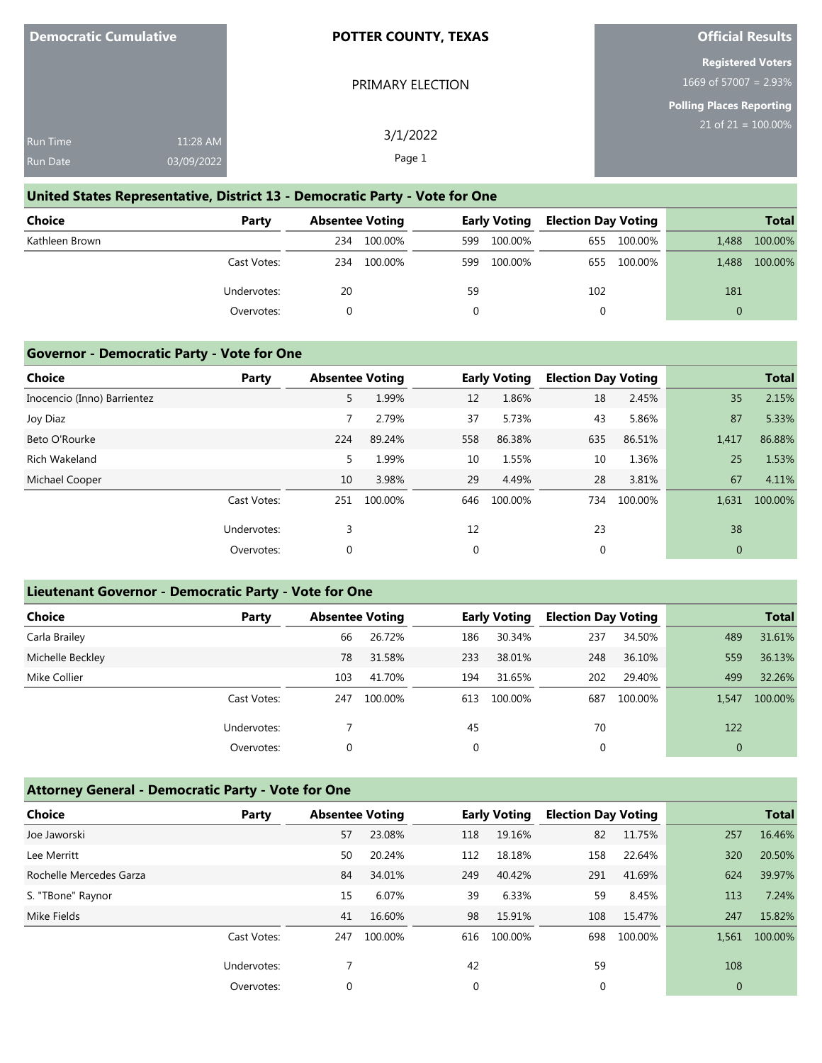PRIMARY ELECTION

## **Official Results**

## **Registered Voters** 1669 of 57007 = 2.93%

**Polling Places Reporting**

|                 |            |          | __<br>$21$ of $21 = 100.00\%$ |
|-----------------|------------|----------|-------------------------------|
| <b>Run Time</b> | 11:28 AM   | 3/1/2022 |                               |
| <b>Run Date</b> | 03/09/2022 | Page 1   |                               |

## **United States Representative, District 13 - Democratic Party - Vote for One**

| <b>Choice</b>  | Party       |     | <b>Absentee Voting</b> |     | <b>Early Voting</b> | <b>Election Day Voting</b> |         |          | <b>Total</b> |
|----------------|-------------|-----|------------------------|-----|---------------------|----------------------------|---------|----------|--------------|
| Kathleen Brown |             | 234 | 100.00%                | 599 | 100.00%             | 655                        | 100.00% | 1.488    | 100.00%      |
|                | Cast Votes: | 234 | 100.00%                | 599 | 100.00%             | 655                        | 100.00% | 1.488    | 100.00%      |
|                | Undervotes: | 20  |                        | 59  |                     | 102                        |         | 181      |              |
|                | Overvotes:  |     |                        |     |                     | 0                          |         | $\Omega$ |              |

#### **Governor - Democratic Party - Vote for One**

| <b>Choice</b>               | Party       | <b>Absentee Voting</b> |         |             | <b>Early Voting</b> | <b>Election Day Voting</b> |         |              | <b>Total</b> |
|-----------------------------|-------------|------------------------|---------|-------------|---------------------|----------------------------|---------|--------------|--------------|
| Inocencio (Inno) Barrientez |             | 5                      | 1.99%   | 12          | 1.86%               | 18                         | 2.45%   | 35           | 2.15%        |
| Joy Diaz                    |             |                        | 2.79%   | 37          | 5.73%               | 43                         | 5.86%   | 87           | 5.33%        |
| Beto O'Rourke               |             | 224                    | 89.24%  | 558         | 86.38%              | 635                        | 86.51%  | 1,417        | 86.88%       |
| Rich Wakeland               |             | 5                      | 1.99%   | 10          | 1.55%               | 10                         | 1.36%   | 25           | 1.53%        |
| Michael Cooper              |             | 10                     | 3.98%   | 29          | 4.49%               | 28                         | 3.81%   | 67           | 4.11%        |
|                             | Cast Votes: | 251                    | 100.00% | 646         | 100.00%             | 734                        | 100.00% | 1,631        | 100.00%      |
|                             | Undervotes: | 3                      |         | 12          |                     | 23                         |         | 38           |              |
|                             | Overvotes:  | 0                      |         | $\mathbf 0$ |                     | 0                          |         | $\mathbf{0}$ |              |

## **Lieutenant Governor - Democratic Party - Vote for One**

| <b>Choice</b>    | Party       | <b>Absentee Voting</b> |         |     | <b>Early Voting</b> | <b>Election Day Voting</b> |         |                | <b>Total</b> |
|------------------|-------------|------------------------|---------|-----|---------------------|----------------------------|---------|----------------|--------------|
| Carla Brailey    |             | 66                     | 26.72%  | 186 | 30.34%              | 237                        | 34.50%  | 489            | 31.61%       |
| Michelle Beckley |             | 78                     | 31.58%  | 233 | 38.01%              | 248                        | 36.10%  | 559            | 36.13%       |
| Mike Collier     |             | 103                    | 41.70%  | 194 | 31.65%              | 202                        | 29.40%  | 499            | 32.26%       |
|                  | Cast Votes: | 247                    | 100.00% | 613 | 100.00%             | 687                        | 100.00% | 1,547          | 100.00%      |
|                  | Undervotes: |                        |         | 45  |                     | 70                         |         | 122            |              |
|                  | Overvotes:  | 0                      |         |     |                     |                            |         | $\overline{0}$ |              |

# **Attorney General - Democratic Party - Vote for One**

| <b>Choice</b>           | Party       | <b>Absentee Voting</b> |         |     | <b>Early Voting</b> | <b>Election Day Voting</b> |         |          | <b>Total</b> |
|-------------------------|-------------|------------------------|---------|-----|---------------------|----------------------------|---------|----------|--------------|
| Joe Jaworski            |             | 57                     | 23.08%  | 118 | 19.16%              | 82                         | 11.75%  | 257      | 16.46%       |
| Lee Merritt             |             | 50                     | 20.24%  | 112 | 18.18%              | 158                        | 22.64%  | 320      | 20.50%       |
| Rochelle Mercedes Garza |             | 84                     | 34.01%  | 249 | 40.42%              | 291                        | 41.69%  | 624      | 39.97%       |
| S. "TBone" Raynor       |             | 15                     | 6.07%   | 39  | 6.33%               | 59                         | 8.45%   | 113      | 7.24%        |
| Mike Fields             |             | 41                     | 16.60%  | 98  | 15.91%              | 108                        | 15.47%  | 247      | 15.82%       |
|                         | Cast Votes: | 247                    | 100.00% | 616 | 100.00%             | 698                        | 100.00% | 1,561    | 100.00%      |
|                         | Undervotes: |                        |         | 42  |                     | 59                         |         | 108      |              |
|                         | Overvotes:  | 0                      |         | 0   |                     | 0                          |         | $\theta$ |              |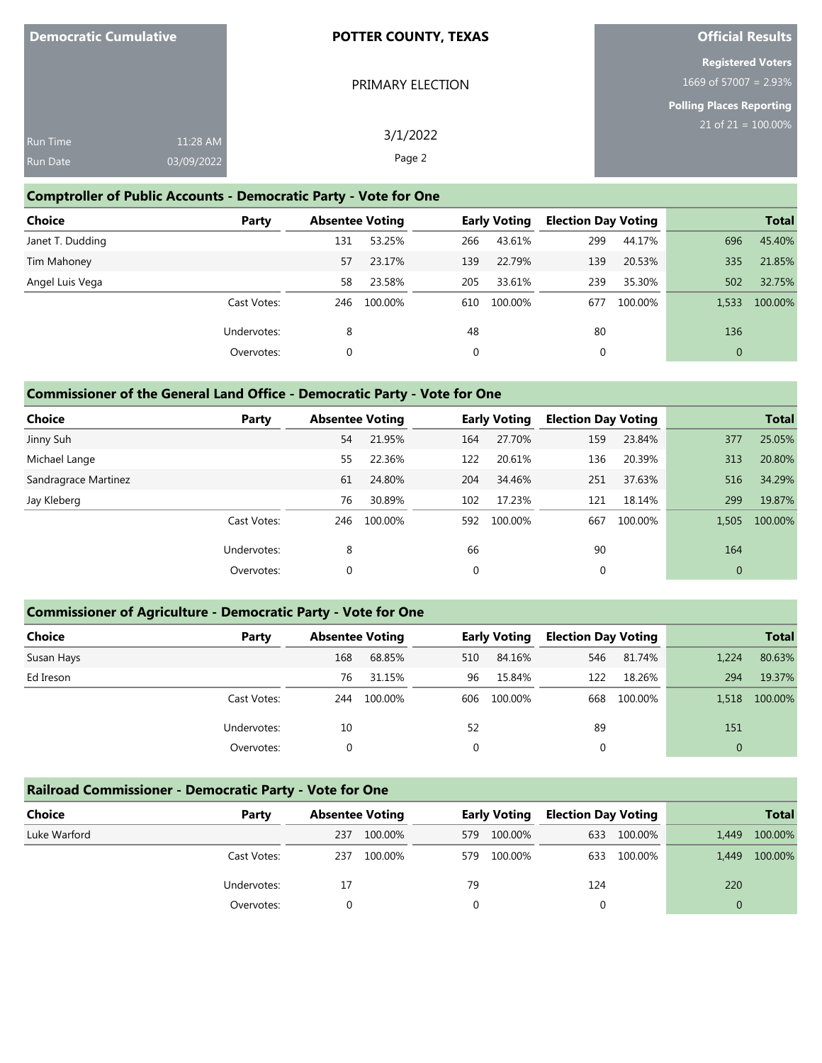| <b>Democratic Cumulative</b>       |                        | <b>POTTER COUNTY, TEXAS</b> | <b>Official Results</b>                                                          |  |
|------------------------------------|------------------------|-----------------------------|----------------------------------------------------------------------------------|--|
|                                    |                        | PRIMARY ELECTION            | <b>Registered Voters</b><br>1669 of 57007 = $2.93\%$<br>Polling Places Reporting |  |
| <b>Run Time</b><br><b>Run Date</b> | 11:28 AM<br>03/09/2022 | 3/1/2022<br>Page 2          | $21$ of $21 = 100.00\%$                                                          |  |

## **Comptroller of Public Accounts - Democratic Party - Vote for One**

| <b>Choice</b>    | Party       | <b>Absentee Voting</b> |         |     | <b>Early Voting</b> | <b>Election Day Voting</b> |         |              | <b>Total</b> |
|------------------|-------------|------------------------|---------|-----|---------------------|----------------------------|---------|--------------|--------------|
|                  |             |                        |         |     |                     |                            |         |              |              |
| Janet T. Dudding |             | 131                    | 53.25%  | 266 | 43.61%              | 299                        | 44.17%  | 696          | 45.40%       |
| Tim Mahoney      |             | 57                     | 23.17%  | 139 | 22.79%              | 139                        | 20.53%  | 335          | 21.85%       |
| Angel Luis Vega  |             | 58                     | 23.58%  | 205 | 33.61%              | 239                        | 35.30%  | 502          | 32.75%       |
|                  | Cast Votes: | 246                    | 100.00% | 610 | 100.00%             | 677                        | 100.00% | 1.533        | 100.00%      |
|                  | Undervotes: | 8                      |         | 48  |                     | 80                         |         | 136          |              |
|                  | Overvotes:  | 0                      |         | 0   |                     | 0                          |         | $\mathbf{0}$ |              |

## **Commissioner of the General Land Office - Democratic Party - Vote for One**

| <b>Choice</b>        | Party       | <b>Absentee Voting</b> |         |     | <b>Early Voting</b> | <b>Election Day Voting</b> |         |          | <b>Total</b> |
|----------------------|-------------|------------------------|---------|-----|---------------------|----------------------------|---------|----------|--------------|
| Jinny Suh            |             | 54                     | 21.95%  | 164 | 27.70%              | 159                        | 23.84%  | 377      | 25.05%       |
| Michael Lange        |             | 55                     | 22.36%  | 122 | 20.61%              | 136                        | 20.39%  | 313      | 20.80%       |
| Sandragrace Martinez |             | 61                     | 24.80%  | 204 | 34.46%              | 251                        | 37.63%  | 516      | 34.29%       |
| Jay Kleberg          |             | 76                     | 30.89%  | 102 | 17.23%              | 121                        | 18.14%  | 299      | 19.87%       |
|                      | Cast Votes: | 246                    | 100.00% | 592 | 100.00%             | 667                        | 100.00% | 1,505    | 100.00%      |
|                      | Undervotes: | 8                      |         | 66  |                     | 90                         |         | 164      |              |
|                      | Overvotes:  | $\mathbf 0$            |         | 0   |                     | 0                          |         | $\theta$ |              |

## **Commissioner of Agriculture - Democratic Party - Vote for One**

| <b>Choice</b> | Party       | <b>Absentee Voting</b> |         |     | <b>Early Voting</b> | <b>Election Day Voting</b> |         |              | <b>Total</b> |
|---------------|-------------|------------------------|---------|-----|---------------------|----------------------------|---------|--------------|--------------|
| Susan Hays    |             | 168                    | 68.85%  | 510 | 84.16%              | 546                        | 81.74%  | 1,224        | 80.63%       |
| Ed Ireson     |             | 76                     | 31.15%  | 96  | 15.84%              | 122                        | 18.26%  | 294          | 19.37%       |
|               | Cast Votes: | 244                    | 100.00% | 606 | 100.00%             | 668                        | 100.00% | 1.518        | 100.00%      |
|               | Undervotes: | 10                     |         | 52  |                     | 89                         |         | 151          |              |
|               | Overvotes:  | 0                      |         | 0   |                     | 0                          |         | $\mathbf{0}$ |              |

## **Railroad Commissioner - Democratic Party - Vote for One**

| <b>Choice</b> | Party       | <b>Absentee Voting</b> |         |      | <b>Early Voting</b> | <b>Election Day Voting</b> |         |       | <b>Total</b> |
|---------------|-------------|------------------------|---------|------|---------------------|----------------------------|---------|-------|--------------|
| Luke Warford  |             | 237                    | 100.00% | 579. | 100.00%             | 633                        | 100.00% | 1.449 | 100.00%      |
|               | Cast Votes: | 237                    | 100.00% | 579  | 100.00%             | 633                        | 100.00% | 1,449 | 100.00%      |
|               | Undervotes: | 17                     |         | 79   |                     | 124                        |         | 220   |              |
|               | Overvotes:  |                        |         |      |                     |                            |         |       |              |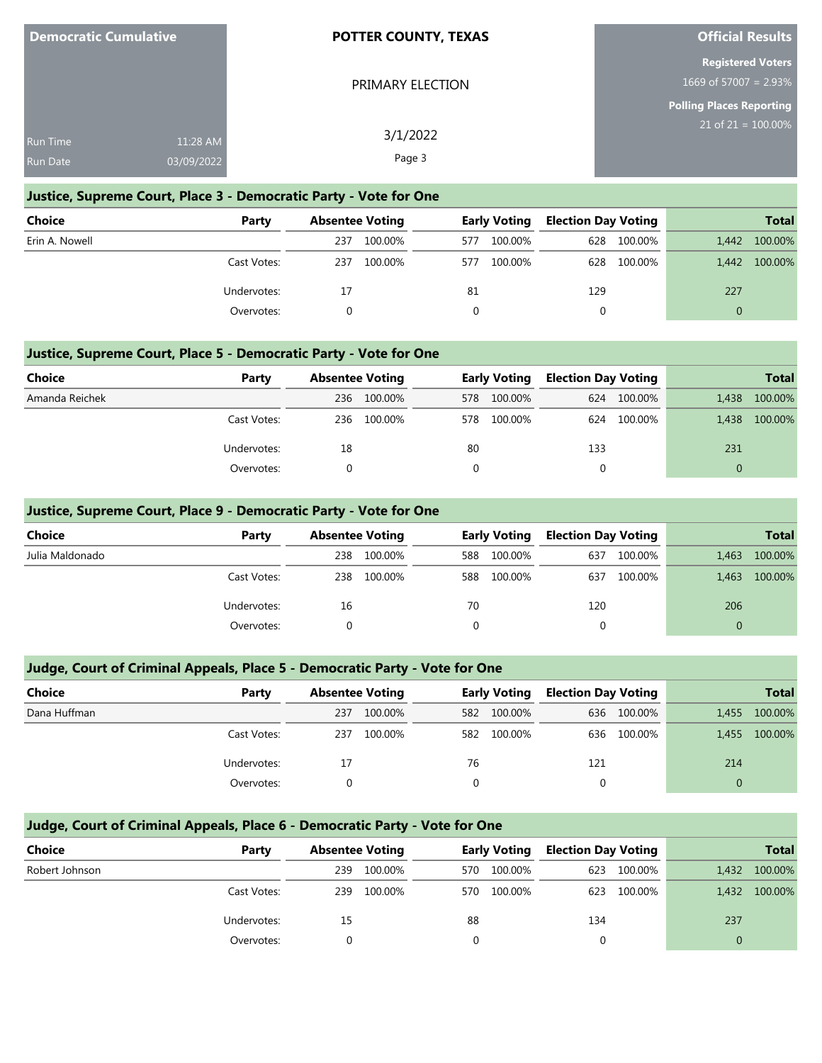PRIMARY ELECTION

## **Official Results**

|  | <b>Registered Voters</b> |  |  |
|--|--------------------------|--|--|
|  | $1669$ of 57007 = 2.93%  |  |  |

# **Polling Places Reporting**

| <b>Run Time</b> | 11:28 AM   | 3/1/2022 | __<br>$21$ of 21 = 100.00% |
|-----------------|------------|----------|----------------------------|
| <b>Run Date</b> | 03/09/2022 | Page 3   |                            |

## **Justice, Supreme Court, Place 3 - Democratic Party - Vote for One**

| <b>Choice</b>  | Party       | <b>Absentee Voting</b> |         |          | <b>Early Voting</b> | <b>Election Day Voting</b> |         |       | <b>Total</b> |
|----------------|-------------|------------------------|---------|----------|---------------------|----------------------------|---------|-------|--------------|
| Erin A. Nowell |             | 237                    | 100.00% | 577      | 100.00%             | 628                        | 100.00% | 1.442 | 100.00%      |
|                | Cast Votes: | 237                    | 100.00% | 577      | 100.00%             | 628                        | 100.00% | 1.442 | 100.00%      |
|                | Undervotes: | 17                     |         | -81      |                     | 129                        |         | 227   |              |
|                | Overvotes:  | 0                      |         | $\Omega$ |                     |                            |         |       |              |

## **Justice, Supreme Court, Place 5 - Democratic Party - Vote for One**

| <b>Choice</b>  | Party       | <b>Absentee Voting</b> |         |    | <b>Early Voting</b> | <b>Election Day Voting</b> |         |          | <b>Total</b> |
|----------------|-------------|------------------------|---------|----|---------------------|----------------------------|---------|----------|--------------|
| Amanda Reichek |             | 236                    | 100.00% |    | 578 100.00%         | 624                        | 100.00% | 1,438    | 100.00%      |
|                | Cast Votes: | 236                    | 100.00% |    | 578 100.00%         | 624                        | 100.00% | 1.438    | 100.00%      |
|                | Undervotes: | 18                     |         | 80 |                     | 133                        |         | 231      |              |
|                | Overvotes:  |                        |         |    |                     |                            |         | $\Omega$ |              |

## **Justice, Supreme Court, Place 9 - Democratic Party - Vote for One**

| <b>Choice</b>   | Party       | <b>Absentee Voting</b> |         |     | <b>Early Voting</b> | <b>Election Day Voting</b> |         |          | <b>Total</b> |
|-----------------|-------------|------------------------|---------|-----|---------------------|----------------------------|---------|----------|--------------|
| Julia Maldonado |             | 238                    | 100.00% | 588 | 100.00%             | 637                        | 100.00% | 1,463    | 100.00%      |
|                 | Cast Votes: | 238                    | 100.00% | 588 | 100.00%             | 637                        | 100.00% | 1,463    | 100.00%      |
|                 | Undervotes: | 16                     |         | 70  |                     | 120                        |         | 206      |              |
|                 | Overvotes:  | $\Omega$               |         | 0   |                     | 0                          |         | $\Omega$ |              |
|                 |             |                        |         |     |                     |                            |         |          |              |

## **Judge, Court of Criminal Appeals, Place 5 - Democratic Party - Vote for One**

| Choice       | Party       | <b>Absentee Voting</b> |         |     | <b>Early Voting</b> | <b>Election Day Voting</b> |             |          | <b>Total</b> |
|--------------|-------------|------------------------|---------|-----|---------------------|----------------------------|-------------|----------|--------------|
| Dana Huffman |             | 237                    | 100.00% | 582 | 100.00%             |                            | 636 100.00% | 1,455    | 100.00%      |
|              | Cast Votes: | 237                    | 100.00% | 582 | 100.00%             |                            | 636 100.00% | 1.455    | 100.00%      |
|              | Undervotes: | 17                     |         | 76  |                     | 121                        |             | 214      |              |
|              | Overvotes:  |                        |         |     |                     |                            |             | $\Omega$ |              |

# **Judge, Court of Criminal Appeals, Place 6 - Democratic Party - Vote for One**

| <b>Choice</b>  | Party       | <b>Absentee Voting</b> |         |      | <b>Early Voting</b> | <b>Election Day Voting</b> |             |       | <b>Total</b>  |
|----------------|-------------|------------------------|---------|------|---------------------|----------------------------|-------------|-------|---------------|
| Robert Johnson |             | 239                    | 100.00% | 570. | 100.00%             | 623                        | 100.00%     | 1,432 | 100.00%       |
|                | Cast Votes: | 239                    | 100.00% | 570. | 100.00%             |                            | 623 100.00% |       | 1,432 100.00% |
|                | Undervotes: | 15                     |         | 88   |                     | 134                        |             | 237   |               |
|                | Overvotes:  |                        |         |      |                     |                            |             | 0     |               |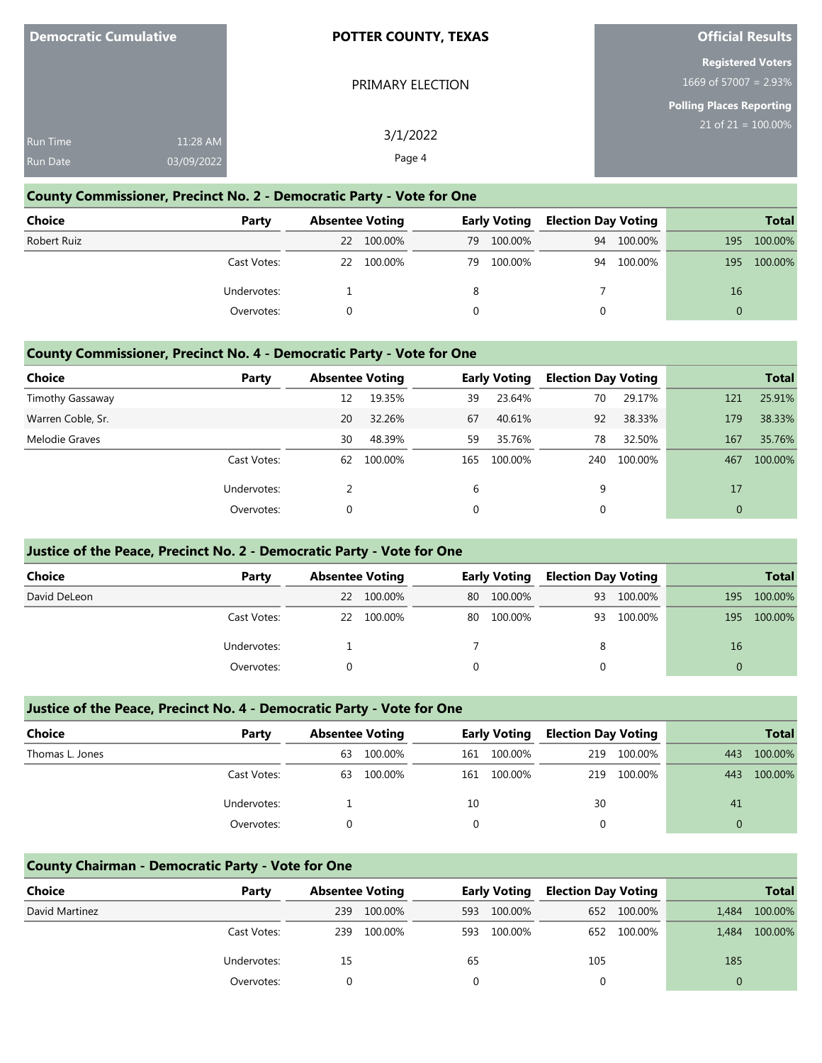PRIMARY ELECTION

## **Official Results**

## **Registered Voters** 1669 of 57007 = 2.93%

**Polling Places Reporting**

21 of 21 = 100.00%

| <b>Run Time</b> | 11:28 AM   | 3/1/2022 |  |
|-----------------|------------|----------|--|
| <b>Run Date</b> | 03/09/2022 | Page 4   |  |

## **County Commissioner, Precinct No. 2 - Democratic Party - Vote for One**

| <b>Choice</b> | Party       | <b>Absentee Voting</b> |         |    | <b>Early Voting</b> | <b>Election Day Voting</b> |         |     | <b>Total</b> |
|---------------|-------------|------------------------|---------|----|---------------------|----------------------------|---------|-----|--------------|
| Robert Ruiz   |             | <b>22</b>              | 100.00% | 79 | 100.00%             | 94                         | 100.00% | 195 | 100.00%      |
|               | Cast Votes: | 22                     | 100.00% | 79 | 100.00%             | 94                         | 100.00% | 195 | 100.00%      |
|               | Undervotes: |                        |         | 8  |                     |                            |         | 16  |              |
|               | Overvotes:  |                        |         |    |                     |                            |         |     |              |

#### **County Commissioner, Precinct No. 4 - Democratic Party - Vote for One**

| Choice            | Party       |    | <b>Absentee Voting</b> |          | <b>Early Voting</b> | <b>Election Day Voting</b> |         |              | <b>Total</b> |
|-------------------|-------------|----|------------------------|----------|---------------------|----------------------------|---------|--------------|--------------|
| Timothy Gassaway  |             | 12 | 19.35%                 | 39       | 23.64%              | 70                         | 29.17%  | 121          | 25.91%       |
| Warren Coble, Sr. |             | 20 | 32.26%                 | 67       | 40.61%              | 92                         | 38.33%  | 179          | 38.33%       |
| Melodie Graves    |             | 30 | 48.39%                 | 59       | 35.76%              | 78                         | 32.50%  | 167          | 35.76%       |
|                   | Cast Votes: | 62 | 100.00%                | 165      | 100.00%             | 240                        | 100.00% | 467          | 100.00%      |
|                   | Undervotes: |    |                        | 6        |                     | 9                          |         | 17           |              |
|                   | Overvotes:  | 0  |                        | $\Omega$ |                     | 0                          |         | $\mathbf{0}$ |              |

## **Justice of the Peace, Precinct No. 2 - Democratic Party - Vote for One**

| <b>Choice</b> | Party       | <b>Absentee Voting</b> |         |    | <b>Early Voting</b> | <b>Election Day Voting</b> |         |     | <b>Total</b> |
|---------------|-------------|------------------------|---------|----|---------------------|----------------------------|---------|-----|--------------|
| David DeLeon  |             | 22                     | 100.00% | 80 | 100.00%             | 93                         | 100.00% | 195 | 100.00%      |
|               | Cast Votes: | 22                     | 100.00% | 80 | 100.00%             | 93                         | 100.00% | 195 | 100.00%      |
|               | Undervotes: |                        |         |    |                     | 8                          |         | 16  |              |
|               | Overvotes:  |                        |         |    |                     |                            |         | 0   |              |

## **Justice of the Peace, Precinct No. 4 - Democratic Party - Vote for One**

| <b>Choice</b>   | Party       | <b>Absentee Voting</b> |         |     | <b>Early Voting</b> | <b>Election Day Voting</b> |         |          | <b>Total</b> |
|-----------------|-------------|------------------------|---------|-----|---------------------|----------------------------|---------|----------|--------------|
| Thomas L. Jones |             | 63                     | 100.00% | 161 | 100.00%             | 219                        | 100.00% | 443      | 100.00%      |
|                 | Cast Votes: | 63                     | 100.00% | 161 | 100.00%             | 219                        | 100.00% | 443      | 100.00%      |
|                 | Undervotes: |                        |         | 10  |                     | 30                         |         | 41       |              |
|                 | Overvotes:  |                        |         |     |                     | 0                          |         | $\Omega$ |              |

#### **County Chairman - Democratic Party - Vote for One**

| <b>Choice</b>  | Party       | <b>Absentee Voting</b> |         |     | <b>Early Voting</b> | <b>Election Day Voting</b> |             |       | <b>Total</b> |
|----------------|-------------|------------------------|---------|-----|---------------------|----------------------------|-------------|-------|--------------|
| David Martinez |             | 239                    | 100.00% | 593 | 100.00%             |                            | 652 100.00% | 1.484 | 100.00%      |
|                | Cast Votes: | 239                    | 100.00% | 593 | 100.00%             |                            | 652 100.00% | 1.484 | 100.00%      |
|                | Undervotes: | 15                     |         | 65  |                     | 105                        |             | 185   |              |
|                | Overvotes:  |                        |         |     |                     |                            |             |       |              |